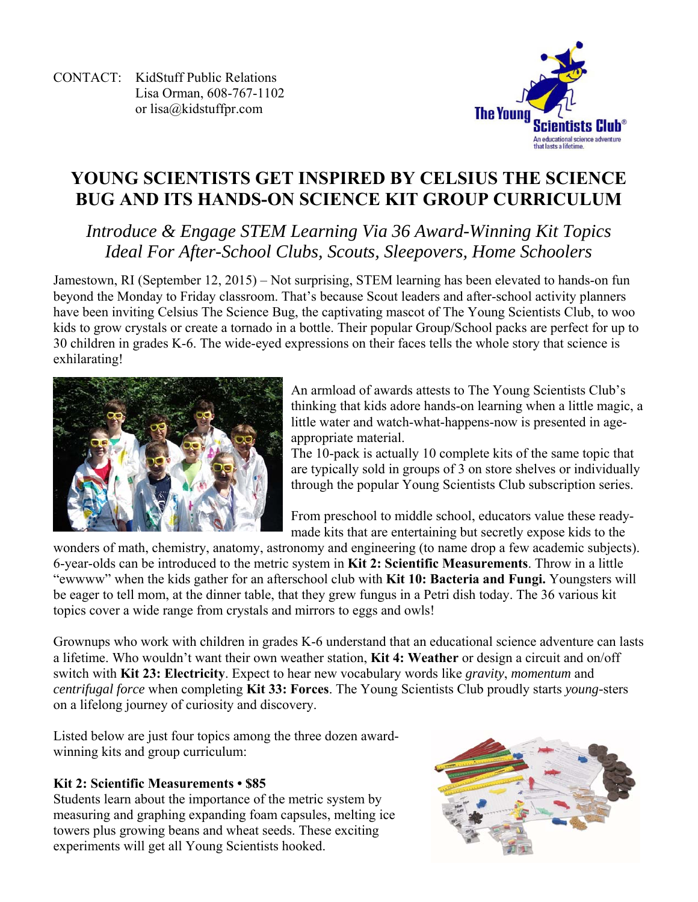CONTACT: KidStuff Public Relations Lisa Orman, 608-767-1102 or lisa@kidstuffpr.com



# **YOUNG SCIENTISTS GET INSPIRED BY CELSIUS THE SCIENCE BUG AND ITS HANDS-ON SCIENCE KIT GROUP CURRICULUM**

# *Introduce & Engage STEM Learning Via 36 Award-Winning Kit Topics Ideal For After-School Clubs, Scouts, Sleepovers, Home Schoolers*

Jamestown, RI (September 12, 2015) – Not surprising, STEM learning has been elevated to hands-on fun beyond the Monday to Friday classroom. That's because Scout leaders and after-school activity planners have been inviting Celsius The Science Bug, the captivating mascot of The Young Scientists Club, to woo kids to grow crystals or create a tornado in a bottle. Their popular Group/School packs are perfect for up to 30 children in grades K-6. The wide-eyed expressions on their faces tells the whole story that science is exhilarating!



An armload of awards attests to The Young Scientists Club's thinking that kids adore hands-on learning when a little magic, a little water and watch-what-happens-now is presented in ageappropriate material.

The 10-pack is actually 10 complete kits of the same topic that are typically sold in groups of 3 on store shelves or individually through the popular Young Scientists Club subscription series.

From preschool to middle school, educators value these readymade kits that are entertaining but secretly expose kids to the

wonders of math, chemistry, anatomy, astronomy and engineering (to name drop a few academic subjects). 6-year-olds can be introduced to the metric system in **Kit 2: Scientific Measurements**. Throw in a little "ewwww" when the kids gather for an afterschool club with **Kit 10: Bacteria and Fungi.** Youngsters will be eager to tell mom, at the dinner table, that they grew fungus in a Petri dish today. The 36 various kit topics cover a wide range from crystals and mirrors to eggs and owls!

Grownups who work with children in grades K-6 understand that an educational science adventure can lasts a lifetime. Who wouldn't want their own weather station, **Kit 4: Weather** or design a circuit and on/off switch with **Kit 23: Electricity**. Expect to hear new vocabulary words like *gravity*, *momentum* and *centrifugal force* when completing **Kit 33: Forces**. The Young Scientists Club proudly starts *young-*sters on a lifelong journey of curiosity and discovery.

Listed below are just four topics among the three dozen awardwinning kits and group curriculum:

# **Kit 2: Scientific Measurements • \$85**

Students learn about the importance of the metric system by measuring and graphing expanding foam capsules, melting ice towers plus growing beans and wheat seeds. These exciting experiments will get all Young Scientists hooked.